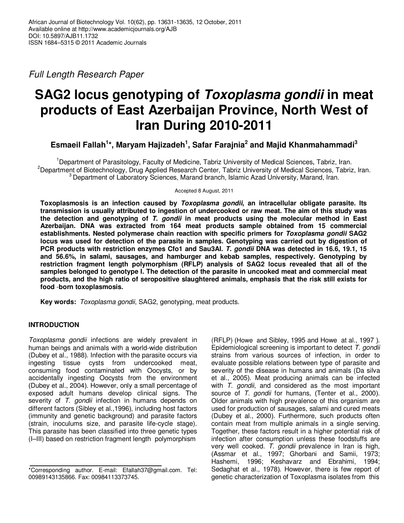Full Length Research Paper

# **SAG2 locus genotyping of Toxoplasma gondii in meat products of East Azerbaijan Province, North West of Iran During 2010-2011**

**Esmaeil Fallah<sup>1</sup> \*, Maryam Hajizadeh<sup>1</sup> , Safar Farajnia<sup>2</sup> and Majid Khanmahammadi<sup>3</sup>**

<sup>1</sup>Department of Parasitology, Faculty of Medicine, Tabriz University of Medical Sciences, Tabriz, Iran. <sup>2</sup>Department of Biotechnology, Drug Applied Research Center, Tabriz University of Medical Sciences, Tabriz, Iran. <sup>3</sup> Department of Laboratory Sciences, Marand branch, Islamic Azad University, Marand, Iran.

Accepted 8 August, 2011

**Toxoplasmosis is an infection caused by Toxoplasma gondii, an intracellular obligate parasite. Its transmission is usually attributed to ingestion of undercooked or raw meat. The aim of this study was the detection and genotyping of T. gondii in meat products using the molecular method in East Azerbaijan. DNA was extracted from 164 meat products sample obtained from 15 commercial establishments. Nested polymerase chain reaction with specific primers for Toxoplasma gondii SAG2 locus was used for detection of the parasite in samples. Genotyping was carried out by digestion of PCR products with restriction enzymes Cfo1 and Sau3AI. T. gondii DNA was detected in 16.6, 19.1, 15 and 56.6%, in salami, sausages, and hamburger and kebab samples, respectively. Genotyping by restriction fragment length polymorphism (RFLP) analysis of SAG2 locus revealed that all of the samples belonged to genotype I. The detection of the parasite in uncooked meat and commercial meat products, and the high ratio of seropositive slaughtered animals, emphasis that the risk still exists for food** -**born toxoplasmosis.** 

**Key words:** Toxoplasma gondii, SAG2, genotyping, meat products.

# **INTRODUCTION**

Toxoplasma gondii infections are widely prevalent in human beings and animals with a world-wide distribution (Dubey et al., 1988). Infection with the parasite occurs via ingesting tissue cysts from undercooked meat, consuming food contaminated with Oocysts, or by accidentally ingesting Oocysts from the environment (Dubey et al., 2004). However, only a small percentage of exposed adult humans develop clinical signs. The severity of T. gondii infection in humans depends on different factors (Sibley et al.,1996), including host factors (immunity and genetic background) and parasite factors (strain, inoculums size, and parasite life-cycle stage). This parasite has been classified into three genetic types (I–III) based on restriction fragment length polymorphism

(RFLP) (Howe and Sibley, 1995 and Howe at al., 1997 ). Epidemiological screening is important to detect T. gondii strains from various sources of infection, in order to evaluate possible relations between type of parasite and severity of the disease in humans and animals (Da silva et al., 2005). Meat producing animals can be infected with T. gondii, and considered as the most important source of T. *gondii* for humans, (Tenter et al., 2000). Older animals with high prevalence of this organism are used for production of sausages, salami and cured meats (Dubey et al., 2000). Furthermore, such products often contain meat from multiple animals in a single serving. Together, these factors result in a higher potential risk of infection after consumption unless these foodstuffs are very well cooked. T. gondii prevalence in Iran is high, (Assmar et al., 1997; Ghorbani and Samii, 1973; Hashemi, 1996; Keshavarz and Ebrahimi, 1994; Sedaghat et al., 1978). However, there is few report of genetic characterization of Toxoplasma isolates from this

<sup>\*</sup>Corresponding author. E-mail: Efallah37@gmail.com. Tel: 00989143135866. Fax: 00984113373745.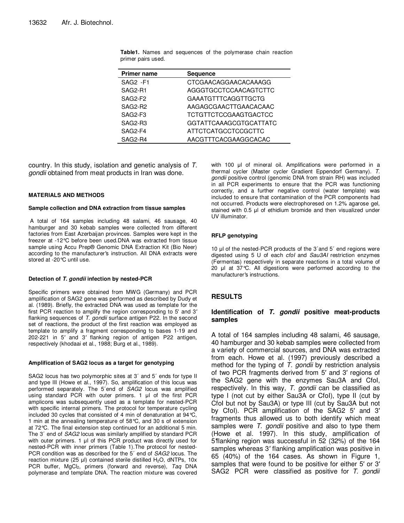| <b>Primer name</b> | <b>Sequence</b>               |
|--------------------|-------------------------------|
| SAG2 -F1           | CTCGAACAGGAACACAAAGG          |
| SAG2-R1            | AGGGTGCCTCCAACAGTCTTC         |
| SAG2-F2            | <b>GAAATGTTTCAGGTTGCTG</b>    |
| SAG2-R2            | AAGAGCGAACTTGAACACAAC         |
| SAG2-F3            | <b>TCTGTTCTCCGAAGTGACTCC</b>  |
| SAG2-R3            | <b>GGTATTCAAAGCGTGCATTATC</b> |
| SAG2-F4            | <b>ATTCTCATGCCTCCGCTTC</b>    |
| SAG2-R4            | AACGTTTCACGAAGGCACAC          |

**Table1.** Names and sequences of the polymerase chain reaction primer pairs used.

country. In this study, isolation and genetic analysis of T. gondii obtained from meat products in Iran was done.

## **MATERIALS AND METHODS**

#### **Sample collection and DNA extraction from tissue samples**

 A total of 164 samples including 48 salami, 46 sausage, 40 hamburger and 30 kebab samples were collected from different factories from East Azerbaijan provinces. Samples were kept in the freezer at -12°C before been used.DNA was extracted from tissue sample using Accu Prep® Genomic DNA Extraction Kit (Bio Neer) according to the manufacturer*′*s instruction. All DNA extracts were stored at -20°C until use.

#### **Detection of T. gondii infection by nested-PCR**

Specific primers were obtained from MWG (Germany) and PCR amplification of SAG2 gene was performed as described by Dudy et al. (1989). Briefly, the extracted DNA was used as template for the first PCR reaction to amplify the region corresponding to 5' and 3*′* flanking sequences of T. gondii surface antigen P22. In the second set of reactions, the product of the first reaction was employed as template to amplify a fragment corresponding to bases 1-19 and 202-221 in 5*′* and 3*′* flanking region of antigen P22 antigen, respectively (khodaai et al., 1988; Burg et al., 1989).

### **Amplification of SAG2 locus as a target for genotyping**

SAG2 locus has two polymorphic sites at 3´ and 5´ ends for type II and type III (Howe et al., 1997). So, amplification of this locus was performed separately. The 5´end of SAG2 locus was amplified using standard PCR with outer primers. 1 µl of the first PCR amplicons was subsequently used as a template for nested-PCR with specific internal primers. The protocol for temperature cycling included 30 cycles that consisted of 4 min of denaturation at 94°C, 1 min at the annealing temperature of 58°C, and 30 s of extension at 72°C. The final extension step continued for an additional 5 min. The 3´ end of SAG2 locus was similarly amplified by standard PCR with outer primers. 1 µl of this PCR product was directly used for nested-PCR with inner primers (Table 1).The protocol for nested-PCR condition was as described for the 5<sup>'</sup> end of SAG2 locus. The reaction mixture (25  $\mu$ I) contained sterile distilled H<sub>2</sub>O, dNTPs, 10x PCR buffer, MgCl<sub>2</sub>, primers (forward and reverse), Taq DNA polymerase and template DNA. The reaction mixture was covered

with 100 µl of mineral oil. Amplifications were performed in a thermal cycler (Master cycler Gradient Eppendorf Germany). T. gondii positive control (genomic DNA from strain RH) was included in all PCR experiments to ensure that the PCR was functioning correctly, and a further negative control (water template) was included to ensure that contamination of the PCR components had not occurred. Products were electrophoresed on 1.2% agarose gel, stained with 0.5 µl of ethidium bromide and then visualized under UV illuminator.

#### **RFLP genotyping**

10 µl of the nested-PCR products of the 3´and 5´ end regions were digested using 5 U of each *cfol* and Sau3AI restriction enzymes (Fermentas) respectively in separate reactions in a total volume of 20 µl at 37°C. All digestions were performed according to the manufacturer*′*s instructions.

## **RESULTS**

## **Identification of T. gondii positive meat-products samples**

A total of 164 samples including 48 salami, 46 sausage, 40 hamburger and 30 kebab samples were collected from a variety of commercial sources, and DNA was extracted from each. Howe et al. (1997) previously described a method for the typing of  $T$ . gondii by restriction analysis of two PCR fragments derived from 5′ and 3′ regions of the SAG2 gene with the enzymes Sau3A and CfoI, respectively. In this way, T. gondii can be classified as type I (not cut by either Sau3A or CfoI), type II (cut by CfoI but not by Sau3A) or type III (cut by Sau3A but not by CfoI). PCR amplification of the SAG2 5′ and 3′ fragments thus allowed us to both identify which meat samples were T. gondii positive and also to type them (Howe et al. 1997). In this study, amplification of 5*′*flanking region was successful in 52 (32%) of the 164 samples whereas 3*′* flanking amplification was positive in 65 (40%) of the 164 cases. As shown in Figure 1, samples that were found to be positive for either 5′ or 3′ SAG2 PCR were classified as positive for T. gondii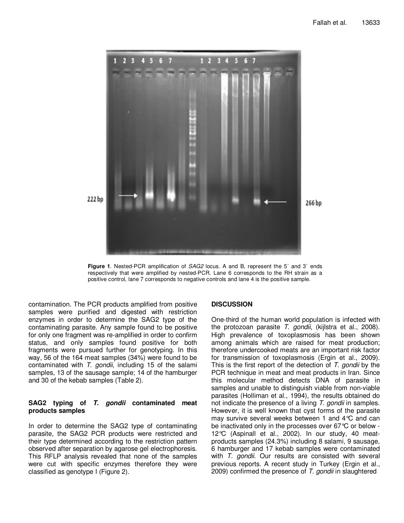



contamination. The PCR products amplified from positive samples were purified and digested with restriction enzymes in order to determine the SAG2 type of the contaminating parasite. Any sample found to be positive for only one fragment was re-amplified in order to confirm status, and only samples found positive for both fragments were pursued further for genotyping. In this way, 56 of the 164 meat samples (34%) were found to be contaminated with  $T.$  gondii, including 15 of the salami samples, 13 of the sausage sample; 14 of the hamburger and 30 of the kebab samples (Table 2).

## **SAG2 typing of T. gondii contaminated meat products samples**

In order to determine the SAG2 type of contaminating parasite, the SAG2 PCR products were restricted and their type determined according to the restriction pattern observed after separation by agarose gel electrophoresis. This RFLP analysis revealed that none of the samples were cut with specific enzymes therefore they were classified as genotype I (Figure 2).

## **DISCUSSION**

One-third of the human world population is infected with the protozoan parasite T. gondii, (kijlstra et al., 2008). High prevalence of toxoplasmosis has been shown among animals which are raised for meat production; therefore undercooked meats are an important risk factor for transmission of toxoplasmosis (Ergin et al., 2009). This is the first report of the detection of  $T$ . gondii by the PCR technique in meat and meat products in Iran. Since this molecular method detects DNA of parasite in samples and unable to distinguish viable from non-viable parasites (Holliman et al., 1994), the results obtained do not indicate the presence of a living T. gondii in samples. However, it is well known that cyst forms of the parasite may survive several weeks between 1 and 4°C and can be inactivated only in the processes over 67°C or below - 12°C (Aspinall et al., 2002). In our study, 40 meatproducts samples (24.3%) including 8 salami, 9 sausage, 6 hamburger and 17 kebab samples were contaminated with T. gondii. Our results are consisted with several previous reports. A recent study in Turkey (Ergin et al., 2009) confirmed the presence of T. gondii in slaughtered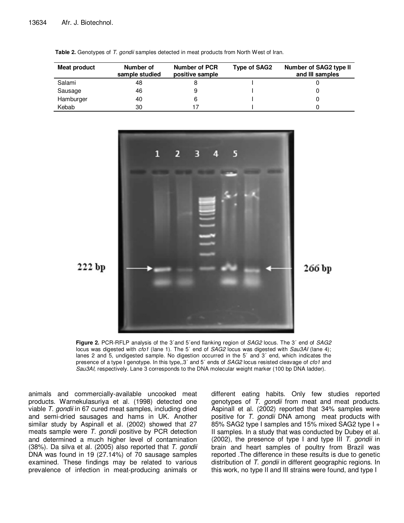| Meat product | Number of<br>sample studied | Number of PCR<br>positive sample | Type of SAG2 | Number of SAG2 type II<br>and III samples |
|--------------|-----------------------------|----------------------------------|--------------|-------------------------------------------|
| Salami       | 48                          |                                  |              |                                           |
| Sausage      | 46                          |                                  |              |                                           |
| Hamburger    | 40                          |                                  |              |                                           |
| Kebab        | 30                          |                                  |              |                                           |

**Table 2.** Genotypes of T. gondii samples detected in meat products from North West of Iran.



**Figure 2.** PCR-RFLP analysis of the 3´and 5´end flanking region of SAG2 locus. The 3´ end of SAG2 locus was digested with cfo1 (lane 1). The 5' end of SAG2 locus was digested with Sau3AI (lane 4); lanes 2 and 5, undigested sample. No digestion occurred in the 5´ and 3´ end, which indicates the presence of a type I genotype. In this type,,3<sup>o</sup> and 5<sup>o</sup> ends of SAG2 locus resisted cleavage of cfo1 and Sau3AI, respectively. Lane 3 corresponds to the DNA molecular weight marker (100 bp DNA ladder).

animals and commercially-available uncooked meat products. Warnekulasuriya et al. (1998) detected one viable T. gondii in 67 cured meat samples, including dried and semi-dried sausages and hams in UK. Another similar study by Aspinall et al. (2002) showed that 27 meats sample were T. gondii positive by PCR detection and determined a much higher level of contamination (38%). Da silva et al. (2005) also reported that T. gondii DNA was found in 19 (27.14%) of 70 sausage samples examined. These findings may be related to various prevalence of infection in meat-producing animals or

different eating habits. Only few studies reported genotypes of T. gondii from meat and meat products. Aspinall et al. (2002) reported that 34% samples were positive for T. gondii DNA among meat products with 85% SAG2 type I samples and 15% mixed SAG2 type I + II samples. In a study that was conducted by Dubey et al. (2002), the presence of type I and type III T. gondii in brain and heart samples of poultry from Brazil was reported .The difference in these results is due to genetic distribution of T. gondii in different geographic regions. In this work, no type II and III strains were found, and type I